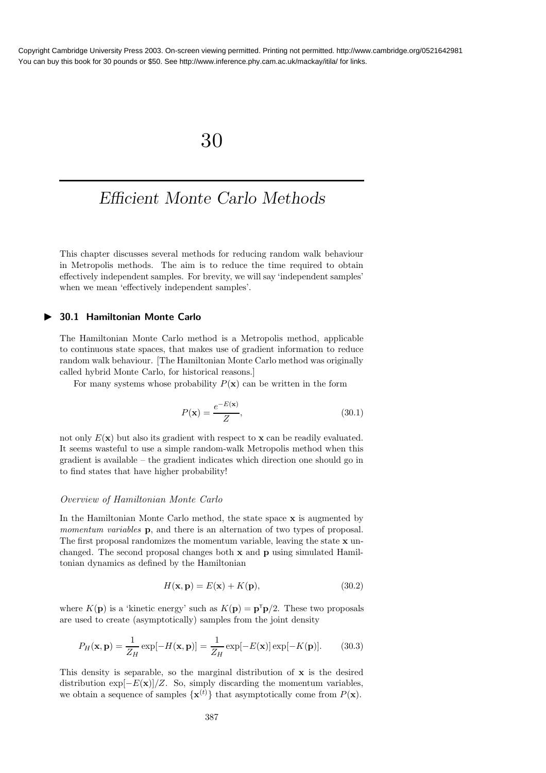# 30

# Efficient Monte Carlo Methods

This chapter discusses several methods for reducing random walk behaviour in Metropolis methods. The aim is to reduce the time required to obtain effectively independent samples. For brevity, we will say 'independent samples' when we mean 'effectively independent samples'.

# 30.1 Hamiltonian Monte Carlo

The Hamiltonian Monte Carlo method is a Metropolis method, applicable to continuous state spaces, that makes use of gradient information to reduce random walk behaviour. [The Hamiltonian Monte Carlo method was originally called hybrid Monte Carlo, for historical reasons.]

For many systems whose probability  $P(x)$  can be written in the form

$$
P(\mathbf{x}) = \frac{e^{-E(\mathbf{x})}}{Z},\tag{30.1}
$$

not only  $E(\mathbf{x})$  but also its gradient with respect to  $\mathbf{x}$  can be readily evaluated. It seems wasteful to use a simple random-walk Metropolis method when this gradient is available – the gradient indicates which direction one should go in to find states that have higher probability!

# Overview of Hamiltonian Monte Carlo

In the Hamiltonian Monte Carlo method, the state space x is augmented by momentum variables **p**, and there is an alternation of two types of proposal. The first proposal randomizes the momentum variable, leaving the state  $x$  unchanged. The second proposal changes both x and p using simulated Hamiltonian dynamics as defined by the Hamiltonian

$$
H(\mathbf{x}, \mathbf{p}) = E(\mathbf{x}) + K(\mathbf{p}),\tag{30.2}
$$

where  $K(\mathbf{p})$  is a 'kinetic energy' such as  $K(\mathbf{p}) = \mathbf{p}^{\mathsf{T}} \mathbf{p}/2$ . These two proposals are used to create (asymptotically) samples from the joint density

$$
P_H(\mathbf{x}, \mathbf{p}) = \frac{1}{Z_H} \exp[-H(\mathbf{x}, \mathbf{p})] = \frac{1}{Z_H} \exp[-E(\mathbf{x})] \exp[-K(\mathbf{p})]. \tag{30.3}
$$

This density is separable, so the marginal distribution of  $x$  is the desired distribution  $\exp[-E(\mathbf{x})]/Z$ . So, simply discarding the momentum variables, we obtain a sequence of samples  $\{\mathbf{x}^{(t)}\}$  that asymptotically come from  $P(\mathbf{x})$ .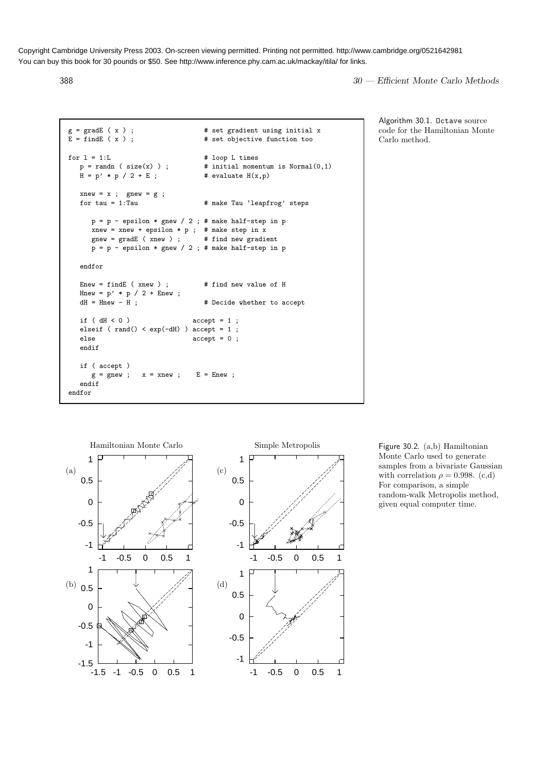388 30 — Efficient Monte Carlo Methods

```
g = \text{grad}E \left( x \right);<br>
E = \text{find}E \left( x \right);<br>
E = \text{find}E \left( x \right);<br>
\text{# set objective function too}# set objective function too
for l = 1:L \qquad # loop L timesp = \text{randn} (size(x)); # initial momentum is Normal(0,1)H = p' * p / 2 + E; # evaluate H(x,p)xnew = x; gnew = g;
  for tau = 1:Tau # make Tau 'leapfrog' steps
      p = p - epsilon + gnew / 2; # make half-step in p
      xnew = xnew + epsilon * p ; # make step in xgnew = gradE ( xnew ) ; # find new gradient
      p = p - e psilon * gnew / 2 ; # make half-step in p
   endfor
  Enew = findE (xnew) ; # find new value of H
  Hnew = p' * p / 2 + Enev;<br>dH = Hnew - H;
                                   # Decide whether to accept
   if (\text{dH} < 0) accept = 1;
   elseif (rand() < exp(-dH)) accept = 1;
   \frac{1}{\text{else}} accept = 0 ;
   endif
   if ( accept )
      g = gnew; x = xnew; E = Enew;
   endif
endfor
```
Algorithm 30.1. Octave source code for the Hamiltonian Monte Carlo method.



Figure 30.2. (a,b) Hamiltonian Monte Carlo used to generate samples from a bivariate Gaussian with correlation  $\rho = 0.998$ . (c,d) For comparison, a simple random-walk Metropolis method, given equal computer time.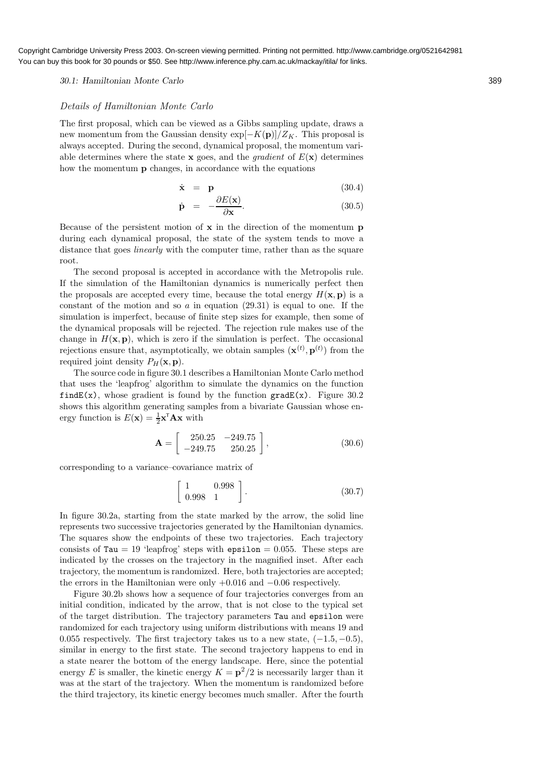### 30.1: Hamiltonian Monte Carlo 389

# Details of Hamiltonian Monte Carlo

The first proposal, which can be viewed as a Gibbs sampling update, draws a new momentum from the Gaussian density  $\exp[-K(p)]/Z_K$ . This proposal is always accepted. During the second, dynamical proposal, the momentum variable determines where the state x goes, and the *gradient* of  $E(\mathbf{x})$  determines how the momentum p changes, in accordance with the equations

$$
\dot{\mathbf{x}} = \mathbf{p} \tag{30.4}
$$

$$
\dot{\mathbf{p}} = -\frac{\partial E(\mathbf{x})}{\partial \mathbf{x}}.
$$
 (30.5)

Because of the persistent motion of  $x$  in the direction of the momentum  $p$ during each dynamical proposal, the state of the system tends to move a distance that goes *linearly* with the computer time, rather than as the square root.

The second proposal is accepted in accordance with the Metropolis rule. If the simulation of the Hamiltonian dynamics is numerically perfect then the proposals are accepted every time, because the total energy  $H(\mathbf{x}, \mathbf{p})$  is a constant of the motion and so  $\alpha$  in equation (29.31) is equal to one. If the simulation is imperfect, because of finite step sizes for example, then some of the dynamical proposals will be rejected. The rejection rule makes use of the change in  $H(\mathbf{x}, \mathbf{p})$ , which is zero if the simulation is perfect. The occasional rejections ensure that, asymptotically, we obtain samples  $(\mathbf{x}^{(t)}, \mathbf{p}^{(t)})$  from the required joint density  $P_H(\mathbf{x}, \mathbf{p})$ .

The source code in figure 30.1 describes a Hamiltonian Monte Carlo method that uses the 'leapfrog' algorithm to simulate the dynamics on the function  $findE(x)$ , whose gradient is found by the function  $gradE(x)$ . Figure 30.2 shows this algorithm generating samples from a bivariate Gaussian whose energy function is  $E(\mathbf{x}) = \frac{1}{2}\mathbf{x}^{\mathsf{T}}\mathbf{A}\mathbf{x}$  with

$$
\mathbf{A} = \begin{bmatrix} 250.25 & -249.75 \\ -249.75 & 250.25 \end{bmatrix},
$$
 (30.6)

corresponding to a variance–covariance matrix of

$$
\left[\begin{array}{cc} 1 & 0.998 \\ 0.998 & 1 \end{array}\right].\tag{30.7}
$$

In figure 30.2a, starting from the state marked by the arrow, the solid line represents two successive trajectories generated by the Hamiltonian dynamics. The squares show the endpoints of these two trajectories. Each trajectory consists of Tau = 19 'leapfrog' steps with epsilon = 0.055. These steps are indicated by the crosses on the trajectory in the magnified inset. After each trajectory, the momentum is randomized. Here, both trajectories are accepted; the errors in the Hamiltonian were only +0.016 and −0.06 respectively.

Figure 30.2b shows how a sequence of four trajectories converges from an initial condition, indicated by the arrow, that is not close to the typical set of the target distribution. The trajectory parameters Tau and epsilon were randomized for each trajectory using uniform distributions with means 19 and 0.055 respectively. The first trajectory takes us to a new state,  $(-1.5, -0.5)$ , similar in energy to the first state. The second trajectory happens to end in a state nearer the bottom of the energy landscape. Here, since the potential energy E is smaller, the kinetic energy  $K = \mathbf{p}^2/2$  is necessarily larger than it was at the start of the trajectory. When the momentum is randomized before the third trajectory, its kinetic energy becomes much smaller. After the fourth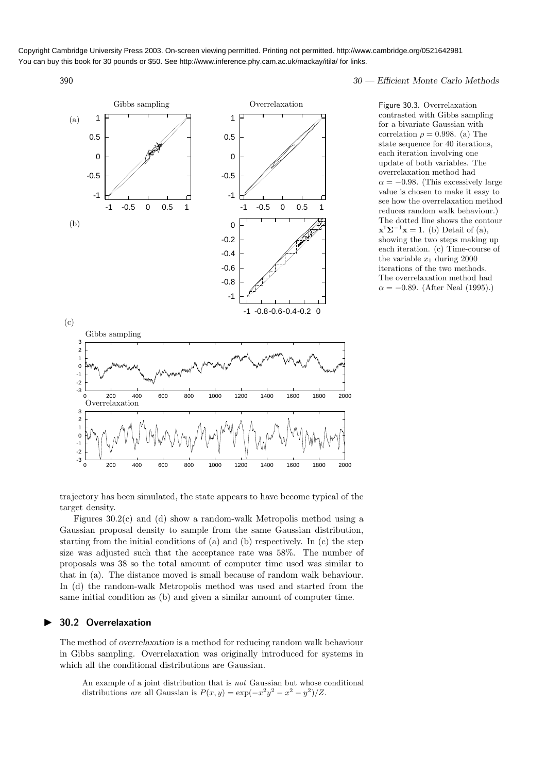



# 390 30 — Efficient Monte Carlo Methods

Figure 30.3. Overrelaxation contrasted with Gibbs sampling for a bivariate Gaussian with correlation  $\rho = 0.998$ . (a) The state sequence for 40 iterations, each iteration involving one update of both variables. The overrelaxation method had  $\alpha = -0.98$ . (This excessively large value is chosen to make it easy to see how the overrelaxation method reduces random walk behaviour.) The dotted line shows the contour  $\mathbf{x}^{\mathsf{T}}\mathbf{\Sigma}^{-1}\mathbf{x} = 1.$  (b) Detail of (a), showing the two steps making up each iteration. (c) Time-course of the variable  $x_1$  during 2000 iterations of the two methods. The overrelaxation method had  $\alpha = -0.89$ . (After Neal (1995).)

trajectory has been simulated, the state appears to have become typical of the target density.

Figures 30.2(c) and (d) show a random-walk Metropolis method using a Gaussian proposal density to sample from the same Gaussian distribution, starting from the initial conditions of (a) and (b) respectively. In (c) the step size was adjusted such that the acceptance rate was 58%. The number of proposals was 38 so the total amount of computer time used was similar to that in (a). The distance moved is small because of random walk behaviour. In (d) the random-walk Metropolis method was used and started from the same initial condition as (b) and given a similar amount of computer time.

# ▶ 30.2 Overrelaxation

The method of overrelaxation is a method for reducing random walk behaviour in Gibbs sampling. Overrelaxation was originally introduced for systems in which all the conditional distributions are Gaussian.

An example of a joint distribution that is not Gaussian but whose conditional distributions are all Gaussian is  $P(x, y) = \exp(-x^2y^2 - x^2 - y^2)/Z$ .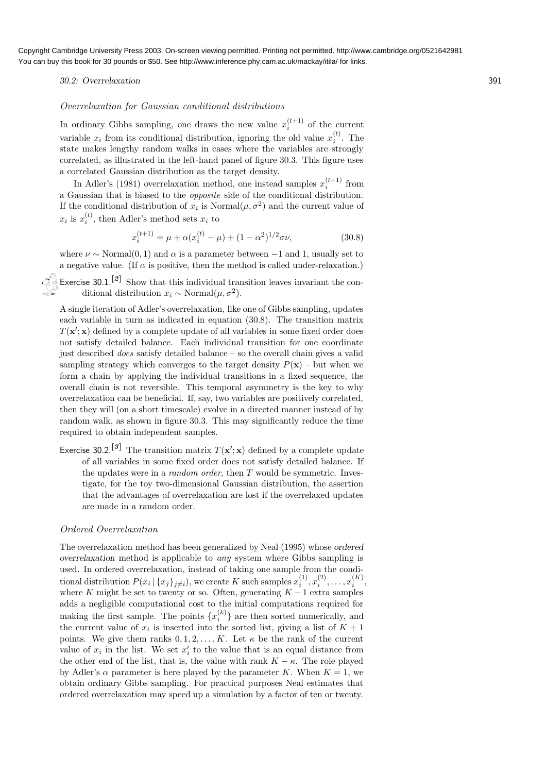### 30.2: Overrelaxation 391

# Overrelaxation for Gaussian conditional distributions

In ordinary Gibbs sampling, one draws the new value  $x_i^{(t+1)}$  $i^{(t+1)}$  of the current variable  $x_i$  from its conditional distribution, ignoring the old value  $x_i^{(t)}$  $i^{\prime\prime}$ . The state makes lengthy random walks in cases where the variables are strongly correlated, as illustrated in the left-hand panel of figure 30.3. This figure uses a correlated Gaussian distribution as the target density.

In Adler's (1981) overrelaxation method, one instead samples  $x_i^{(t+1)}$  $i^{(l+1)}$  from a Gaussian that is biased to the opposite side of the conditional distribution. If the conditional distribution of  $x_i$  is Normal $(\mu, \sigma^2)$  and the current value of  $x_i$  is  $x_i^{(t)}$  $i^{(t)}$ , then Adler's method sets  $x_i$  to

$$
x_i^{(t+1)} = \mu + \alpha (x_i^{(t)} - \mu) + (1 - \alpha^2)^{1/2} \sigma \nu,
$$
\n(30.8)

where  $\nu \sim \text{Normal}(0, 1)$  and  $\alpha$  is a parameter between  $-1$  and 1, usually set to a negative value. (If  $\alpha$  is positive, then the method is called under-relaxation.)

Exercise  $30.1$ .<sup>[2]</sup> Show that this individual transition leaves invariant the conditional distribution  $x_i \sim \text{Normal}(\mu, \sigma^2)$ .

A single iteration of Adler's overrelaxation, like one of Gibbs sampling, updates each variable in turn as indicated in equation (30.8). The transition matrix  $T(\mathbf{x}'; \mathbf{x})$  defined by a complete update of all variables in some fixed order does not satisfy detailed balance. Each individual transition for one coordinate just described does satisfy detailed balance – so the overall chain gives a valid sampling strategy which converges to the target density  $P(\mathbf{x})$  – but when we form a chain by applying the individual transitions in a fixed sequence, the overall chain is not reversible. This temporal asymmetry is the key to why overrelaxation can be beneficial. If, say, two variables are positively correlated, then they will (on a short timescale) evolve in a directed manner instead of by random walk, as shown in figure 30.3. This may significantly reduce the time required to obtain independent samples.

Exercise 30.2.<sup>[3]</sup> The transition matrix  $T(\mathbf{x}'; \mathbf{x})$  defined by a complete update of all variables in some fixed order does not satisfy detailed balance. If the updates were in a *random order*, then  $T$  would be symmetric. Investigate, for the toy two-dimensional Gaussian distribution, the assertion that the advantages of overrelaxation are lost if the overrelaxed updates are made in a random order.

### Ordered Overrelaxation

The overrelaxation method has been generalized by Neal (1995) whose ordered overrelaxation method is applicable to any system where Gibbs sampling is used. In ordered overrelaxation, instead of taking one sample from the conditional distribution  $P(x_i | \{x_j\}_{j\neq i})$ , we create K such samples  $x_i^{(1)}$  $\binom{1}{i}, x_i^{(2)}$  $x_i^{(2)}, \ldots, x_i^{(K)}$ i , where K might be set to twenty or so. Often, generating  $K - 1$  extra samples adds a negligible computational cost to the initial computations required for making the first sample. The points  $\{x_i^{(k)}\}$  $\binom{N}{i}$  are then sorted numerically, and the current value of  $x_i$  is inserted into the sorted list, giving a list of  $K + 1$ points. We give them ranks  $0, 1, 2, \ldots, K$ . Let  $\kappa$  be the rank of the current value of  $x_i$  in the list. We set  $x_i'$  to the value that is an equal distance from the other end of the list, that is, the value with rank  $K - \kappa$ . The role played by Adler's  $\alpha$  parameter is here played by the parameter K. When  $K = 1$ , we obtain ordinary Gibbs sampling. For practical purposes Neal estimates that ordered overrelaxation may speed up a simulation by a factor of ten or twenty.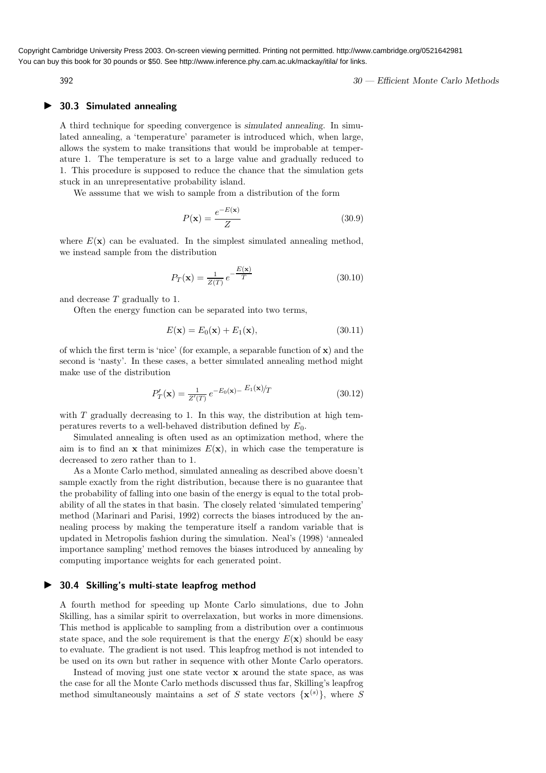392 30 — Efficient Monte Carlo Methods

# ▶ 30.3 Simulated annealing

A third technique for speeding convergence is simulated annealing. In simulated annealing, a 'temperature' parameter is introduced which, when large, allows the system to make transitions that would be improbable at temperature 1. The temperature is set to a large value and gradually reduced to 1. This procedure is supposed to reduce the chance that the simulation gets stuck in an unrepresentative probability island.

We asssume that we wish to sample from a distribution of the form

$$
P(\mathbf{x}) = \frac{e^{-E(\mathbf{x})}}{Z}
$$
 (30.9)

where  $E(\mathbf{x})$  can be evaluated. In the simplest simulated annealing method, we instead sample from the distribution

$$
P_T(\mathbf{x}) = \frac{1}{Z(T)} e^{-\frac{E(\mathbf{x})}{T}} \tag{30.10}
$$

and decrease  $T$  gradually to 1.

Often the energy function can be separated into two terms,

$$
E(\mathbf{x}) = E_0(\mathbf{x}) + E_1(\mathbf{x}),\tag{30.11}
$$

of which the first term is 'nice' (for example, a separable function of  $\mathbf x$ ) and the second is 'nasty'. In these cases, a better simulated annealing method might make use of the distribution

$$
P'_T(\mathbf{x}) = \frac{1}{Z'(T)} e^{-E_0(\mathbf{x}) - E_1(\mathbf{x})}/T
$$
\n(30.12)

with  $T$  gradually decreasing to 1. In this way, the distribution at high temperatures reverts to a well-behaved distribution defined by  $E_0$ .

Simulated annealing is often used as an optimization method, where the aim is to find an x that minimizes  $E(\mathbf{x})$ , in which case the temperature is decreased to zero rather than to 1.

As a Monte Carlo method, simulated annealing as described above doesn't sample exactly from the right distribution, because there is no guarantee that the probability of falling into one basin of the energy is equal to the total probability of all the states in that basin. The closely related 'simulated tempering' method (Marinari and Parisi, 1992) corrects the biases introduced by the annealing process by making the temperature itself a random variable that is updated in Metropolis fashion during the simulation. Neal's (1998) 'annealed importance sampling' method removes the biases introduced by annealing by computing importance weights for each generated point.

# ▶ 30.4 Skilling's multi-state leapfrog method

A fourth method for speeding up Monte Carlo simulations, due to John Skilling, has a similar spirit to overrelaxation, but works in more dimensions. This method is applicable to sampling from a distribution over a continuous state space, and the sole requirement is that the energy  $E(\mathbf{x})$  should be easy to evaluate. The gradient is not used. This leapfrog method is not intended to be used on its own but rather in sequence with other Monte Carlo operators.

Instead of moving just one state vector x around the state space, as was the case for all the Monte Carlo methods discussed thus far, Skilling's leapfrog method simultaneously maintains a set of S state vectors  $\{x^{(s)}\}$ , where S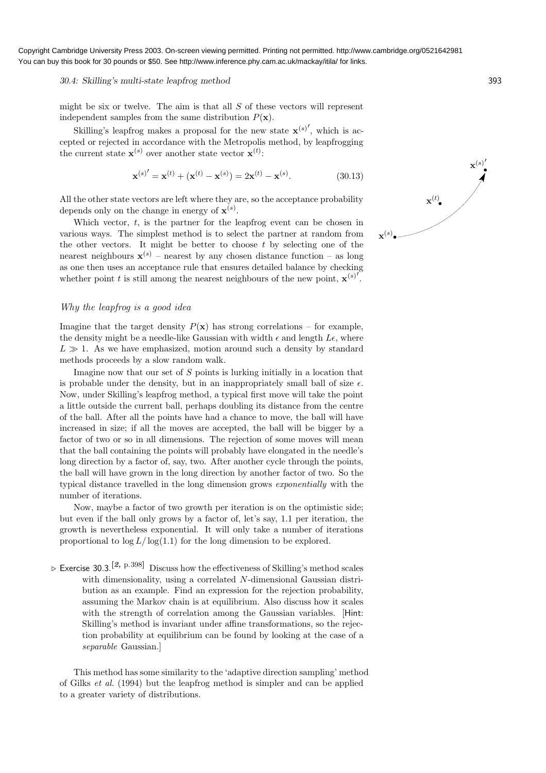### 30.4: Skilling's multi-state leapfrog method 393

might be six or twelve. The aim is that all  $S$  of these vectors will represent independent samples from the same distribution  $P(\mathbf{x})$ .

Skilling's leapfrog makes a proposal for the new state  $\mathbf{x}^{(s)}$ , which is accepted or rejected in accordance with the Metropolis method, by leapfrogging the current state  $\mathbf{x}^{(s)}$  over another state vector  $\mathbf{x}^{(t)}$ :

$$
\mathbf{x}^{(s)'} = \mathbf{x}^{(t)} + (\mathbf{x}^{(t)} - \mathbf{x}^{(s)}) = 2\mathbf{x}^{(t)} - \mathbf{x}^{(s)}.
$$
 (30.13)

All the other state vectors are left where they are, so the acceptance probability depends only on the change in energy of  $\mathbf{x}^{(s)}$ .

Which vector,  $t$ , is the partner for the leapfrog event can be chosen in various ways. The simplest method is to select the partner at random from the other vectors. It might be better to choose  $t$  by selecting one of the nearest neighbours  $\mathbf{x}^{(s)}$  – nearest by any chosen distance function – as long as one then uses an acceptance rule that ensures detailed balance by checking whether point t is still among the nearest neighbours of the new point,  $\mathbf{x}^{(s)}$ .

### Why the leapfrog is a good idea

Imagine that the target density  $P(x)$  has strong correlations – for example, the density might be a needle-like Gaussian with width  $\epsilon$  and length  $L_{\epsilon}$ , where  $L \gg 1$ . As we have emphasized, motion around such a density by standard methods proceeds by a slow random walk.

Imagine now that our set of S points is lurking initially in a location that is probable under the density, but in an inappropriately small ball of size  $\epsilon$ . Now, under Skilling's leapfrog method, a typical first move will take the point a little outside the current ball, perhaps doubling its distance from the centre of the ball. After all the points have had a chance to move, the ball will have increased in size; if all the moves are accepted, the ball will be bigger by a factor of two or so in all dimensions. The rejection of some moves will mean that the ball containing the points will probably have elongated in the needle's long direction by a factor of, say, two. After another cycle through the points, the ball will have grown in the long direction by another factor of two. So the typical distance travelled in the long dimension grows exponentially with the number of iterations.

Now, maybe a factor of two growth per iteration is on the optimistic side; but even if the ball only grows by a factor of, let's say, 1.1 per iteration, the growth is nevertheless exponential. It will only take a number of iterations proportional to  $\log L / \log(1.1)$  for the long dimension to be explored.

 $\triangleright$  Exercise 30.3.<sup>[2, p.398]</sup> Discuss how the effectiveness of Skilling's method scales with dimensionality, using a correlated N-dimensional Gaussian distribution as an example. Find an expression for the rejection probability, assuming the Markov chain is at equilibrium. Also discuss how it scales with the strength of correlation among the Gaussian variables. [Hint: Skilling's method is invariant under affine transformations, so the rejection probability at equilibrium can be found by looking at the case of a separable Gaussian.]

This method has some similarity to the 'adaptive direction sampling' method of Gilks et al. (1994) but the leapfrog method is simpler and can be applied to a greater variety of distributions.

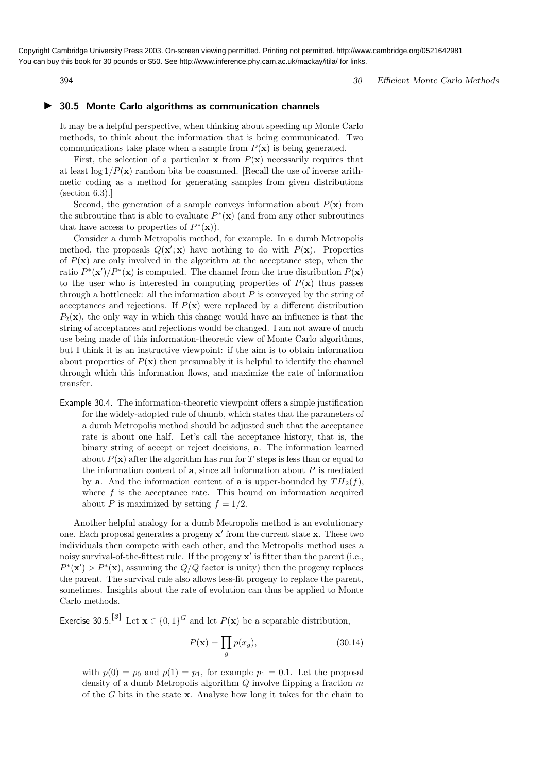394 30 — Efficient Monte Carlo Methods

# ▶ 30.5 Monte Carlo algorithms as communication channels

It may be a helpful perspective, when thinking about speeding up Monte Carlo methods, to think about the information that is being communicated. Two communications take place when a sample from  $P(x)$  is being generated.

First, the selection of a particular  $x$  from  $P(x)$  necessarily requires that at least  $\log 1/P(\mathbf{x})$  random bits be consumed. [Recall the use of inverse arithmetic coding as a method for generating samples from given distributions (section 6.3).]

Second, the generation of a sample conveys information about  $P(\mathbf{x})$  from the subroutine that is able to evaluate  $P^*(\mathbf{x})$  (and from any other subroutines that have access to properties of  $P^*(\mathbf{x})$ .

Consider a dumb Metropolis method, for example. In a dumb Metropolis method, the proposals  $Q(\mathbf{x}'; \mathbf{x})$  have nothing to do with  $P(\mathbf{x})$ . Properties of  $P(x)$  are only involved in the algorithm at the acceptance step, when the ratio  $P^*(\mathbf{x}')/P^*(\mathbf{x})$  is computed. The channel from the true distribution  $P(\mathbf{x})$ to the user who is interested in computing properties of  $P(x)$  thus passes through a bottleneck: all the information about  $P$  is conveyed by the string of acceptances and rejections. If  $P(x)$  were replaced by a different distribution  $P_2(\mathbf{x})$ , the only way in which this change would have an influence is that the string of acceptances and rejections would be changed. I am not aware of much use being made of this information-theoretic view of Monte Carlo algorithms, but I think it is an instructive viewpoint: if the aim is to obtain information about properties of  $P(x)$  then presumably it is helpful to identify the channel through which this information flows, and maximize the rate of information transfer.

Example 30.4. The information-theoretic viewpoint offers a simple justification for the widely-adopted rule of thumb, which states that the parameters of a dumb Metropolis method should be adjusted such that the acceptance rate is about one half. Let's call the acceptance history, that is, the binary string of accept or reject decisions, a. The information learned about  $P(x)$  after the algorithm has run for T steps is less than or equal to the information content of  $a$ , since all information about  $P$  is mediated by **a**. And the information content of **a** is upper-bounded by  $TH_2(f)$ , where  $f$  is the acceptance rate. This bound on information acquired about P is maximized by setting  $f = 1/2$ .

Another helpful analogy for a dumb Metropolis method is an evolutionary one. Each proposal generates a progeny  $x'$  from the current state  $x$ . These two individuals then compete with each other, and the Metropolis method uses a noisy survival-of-the-fittest rule. If the progeny  $x'$  is fitter than the parent (i.e.,  $P^*(\mathbf{x}') > P^*(\mathbf{x})$ , assuming the  $Q/Q$  factor is unity) then the progeny replaces the parent. The survival rule also allows less-fit progeny to replace the parent, sometimes. Insights about the rate of evolution can thus be applied to Monte Carlo methods.

Exercise 30.5.<sup>[3]</sup> Let  $\mathbf{x} \in \{0,1\}^G$  and let  $P(\mathbf{x})$  be a separable distribution,

$$
P(\mathbf{x}) = \prod_{g} p(x_g),\tag{30.14}
$$

with  $p(0) = p_0$  and  $p(1) = p_1$ , for example  $p_1 = 0.1$ . Let the proposal density of a dumb Metropolis algorithm  $Q$  involve flipping a fraction  $m$ of the G bits in the state x. Analyze how long it takes for the chain to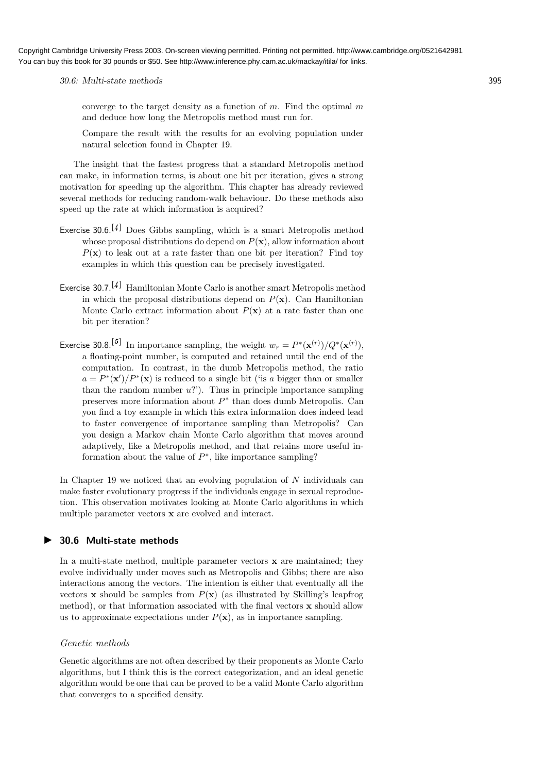30.6: Multi-state methods 395

converge to the target density as a function of  $m$ . Find the optimal  $m$ and deduce how long the Metropolis method must run for.

Compare the result with the results for an evolving population under natural selection found in Chapter 19.

The insight that the fastest progress that a standard Metropolis method can make, in information terms, is about one bit per iteration, gives a strong motivation for speeding up the algorithm. This chapter has already reviewed several methods for reducing random-walk behaviour. Do these methods also speed up the rate at which information is acquired?

- Exercise 30.6.<sup>[4]</sup> Does Gibbs sampling, which is a smart Metropolis method whose proposal distributions do depend on  $P(\mathbf{x})$ , allow information about  $P(x)$  to leak out at a rate faster than one bit per iteration? Find toy examples in which this question can be precisely investigated.
- Exercise 30.7.[4] Hamiltonian Monte Carlo is another smart Metropolis method in which the proposal distributions depend on  $P(\mathbf{x})$ . Can Hamiltonian Monte Carlo extract information about  $P(x)$  at a rate faster than one bit per iteration?
- Exercise 30.8.<sup>[5]</sup> In importance sampling, the weight  $w_r = P^*(\mathbf{x}^{(r)})/Q^*(\mathbf{x}^{(r)})$ , a floating-point number, is computed and retained until the end of the computation. In contrast, in the dumb Metropolis method, the ratio  $a = P^*(\mathbf{x}')/P^*(\mathbf{x})$  is reduced to a single bit ('is a bigger than or smaller than the random number  $u$ ?'). Thus in principle importance sampling preserves more information about  $P^*$  than does dumb Metropolis. Can you find a toy example in which this extra information does indeed lead to faster convergence of importance sampling than Metropolis? Can you design a Markov chain Monte Carlo algorithm that moves around adaptively, like a Metropolis method, and that retains more useful information about the value of  $P^*$ , like importance sampling?

In Chapter 19 we noticed that an evolving population of  $N$  individuals can make faster evolutionary progress if the individuals engage in sexual reproduction. This observation motivates looking at Monte Carlo algorithms in which multiple parameter vectors x are evolved and interact.

# ▶ 30.6 Multi-state methods

In a multi-state method, multiple parameter vectors  $x$  are maintained; they evolve individually under moves such as Metropolis and Gibbs; there are also interactions among the vectors. The intention is either that eventually all the vectors **x** should be samples from  $P(x)$  (as illustrated by Skilling's leapfrog method), or that information associated with the final vectors  $\bf{x}$  should allow us to approximate expectations under  $P(\mathbf{x})$ , as in importance sampling.

# Genetic methods

Genetic algorithms are not often described by their proponents as Monte Carlo algorithms, but I think this is the correct categorization, and an ideal genetic algorithm would be one that can be proved to be a valid Monte Carlo algorithm that converges to a specified density.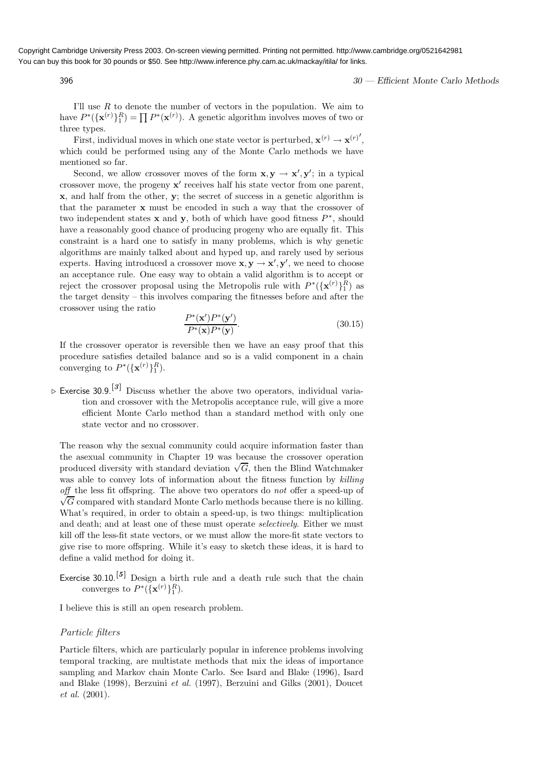$30 -$  Efficient Monte Carlo Methods

I'll use  $R$  to denote the number of vectors in the population. We aim to have  $P^*(\{\mathbf{x}^{(r)}\}_{1}^R) = \prod P^*(\mathbf{x}^{(r)})$ . A genetic algorithm involves moves of two or three types.

First, individual moves in which one state vector is perturbed,  $\mathbf{x}^{(r)} \rightarrow \mathbf{x}^{(r)}'$ , which could be performed using any of the Monte Carlo methods we have mentioned so far.

Second, we allow crossover moves of the form  $\mathbf{x}, \mathbf{y} \to \mathbf{x}', \mathbf{y}'$ ; in a typical crossover move, the progeny  $x'$  receives half his state vector from one parent, x, and half from the other, y; the secret of success in a genetic algorithm is that the parameter x must be encoded in such a way that the crossover of two independent states **x** and **y**, both of which have good fitness  $P^*$ , should have a reasonably good chance of producing progeny who are equally fit. This constraint is a hard one to satisfy in many problems, which is why genetic algorithms are mainly talked about and hyped up, and rarely used by serious experts. Having introduced a crossover move  $\mathbf{x}, \mathbf{y} \to \mathbf{x}', \mathbf{y}'$ , we need to choose an acceptance rule. One easy way to obtain a valid algorithm is to accept or reject the crossover proposal using the Metropolis rule with  $P^*(\{\mathbf{x}^{(r)}\}_1^R)$  as the target density – this involves comparing the fitnesses before and after the crossover using the ratio

$$
\frac{P^*(\mathbf{x}')P^*(\mathbf{y}')}{P^*(\mathbf{x})P^*(\mathbf{y})}.\tag{30.15}
$$

If the crossover operator is reversible then we have an easy proof that this procedure satisfies detailed balance and so is a valid component in a chain converging to  $P^*(\{\mathbf{x}^{(r)}\}_1^R)$ .

 $\triangleright$  Exercise 30.9.<sup>[3]</sup> Discuss whether the above two operators, individual variation and crossover with the Metropolis acceptance rule, will give a more efficient Monte Carlo method than a standard method with only one state vector and no crossover.

The reason why the sexual community could acquire information faster than the asexual community in Chapter 19 was because the crossover operation produced diversity with standard deviation  $\sqrt{G}$ , then the Blind Watchmaker was able to convey lots of information about the fitness function by killing off the less fit offspring. The above two operators do not offer a speed-up of  $\sqrt{G}$  compared with standard Monte Carlo methods because there is no killing. What's required, in order to obtain a speed-up, is two things: multiplication and death; and at least one of these must operate selectively. Either we must kill off the less-fit state vectors, or we must allow the more-fit state vectors to give rise to more offspring. While it's easy to sketch these ideas, it is hard to define a valid method for doing it.

Exercise 30.10.<sup>[5]</sup> Design a birth rule and a death rule such that the chain converges to  $P^*(\{\mathbf{x}^{(r)}\}_1^R)$ .

I believe this is still an open research problem.

### Particle filters

Particle filters, which are particularly popular in inference problems involving temporal tracking, are multistate methods that mix the ideas of importance sampling and Markov chain Monte Carlo. See Isard and Blake (1996), Isard and Blake (1998), Berzuini et al. (1997), Berzuini and Gilks (2001), Doucet et al. (2001).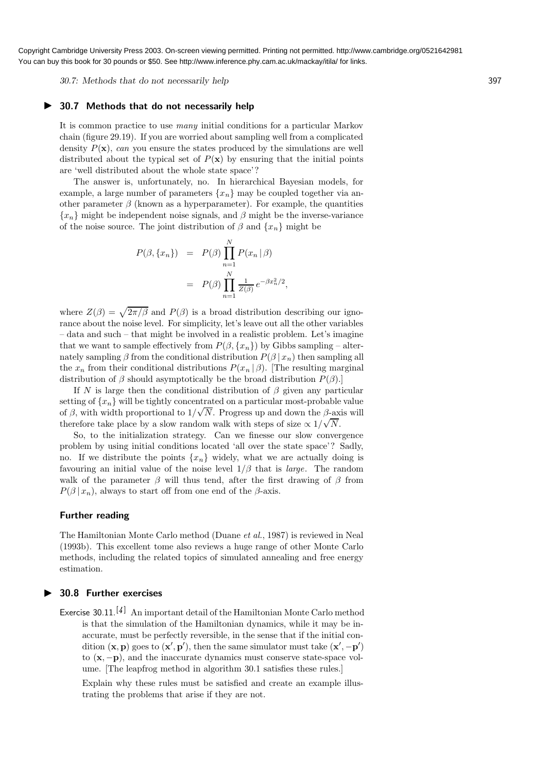30.7: Methods that do not necessarily help 397

# ▶ 30.7 Methods that do not necessarily help

It is common practice to use many initial conditions for a particular Markov chain (figure 29.19). If you are worried about sampling well from a complicated density  $P(\mathbf{x})$ , can you ensure the states produced by the simulations are well distributed about the typical set of  $P(x)$  by ensuring that the initial points are 'well distributed about the whole state space'?

The answer is, unfortunately, no. In hierarchical Bayesian models, for example, a large number of parameters  $\{x_n\}$  may be coupled together via another parameter  $\beta$  (known as a hyperparameter). For example, the quantities  ${x_n}$  might be independent noise signals, and  $\beta$  might be the inverse-variance of the noise source. The joint distribution of  $\beta$  and  $\{x_n\}$  might be

$$
P(\beta, \{x_n\}) = P(\beta) \prod_{n=1}^{N} P(x_n | \beta)
$$

$$
= P(\beta) \prod_{n=1}^{N} \frac{1}{Z(\beta)} e^{-\beta x_n^2/2},
$$

where  $Z(\beta) = \sqrt{2\pi/\beta}$  and  $P(\beta)$  is a broad distribution describing our ignorance about the noise level. For simplicity, let's leave out all the other variables – data and such – that might be involved in a realistic problem. Let's imagine that we want to sample effectively from  $P(\beta, \{x_n\})$  by Gibbs sampling – alternately sampling  $\beta$  from the conditional distribution  $P(\beta | x_n)$  then sampling all the  $x_n$  from their conditional distributions  $P(x_n | \beta)$ . [The resulting marginal distribution of  $\beta$  should asymptotically be the broad distribution  $P(\beta)$ .]

If N is large then the conditional distribution of  $\beta$  given any particular setting of  $\{x_n\}$  will be tightly concentrated on a particular most-probable value of  $\beta$ , with width proportional to  $1/\sqrt{N}$ . Progress up and down the  $\beta$ -axis will therefore take place by a slow random walk with steps of size  $\propto 1/\sqrt{N}$ .

So, to the initialization strategy. Can we finesse our slow convergence problem by using initial conditions located 'all over the state space'? Sadly, no. If we distribute the points  $\{x_n\}$  widely, what we are actually doing is favouring an initial value of the noise level  $1/\beta$  that is *large*. The random walk of the parameter  $\beta$  will thus tend, after the first drawing of  $\beta$  from  $P(\beta | x_n)$ , always to start off from one end of the  $\beta$ -axis.

# Further reading

The Hamiltonian Monte Carlo method (Duane et al., 1987) is reviewed in Neal (1993b). This excellent tome also reviews a huge range of other Monte Carlo methods, including the related topics of simulated annealing and free energy estimation.

# 30.8 Further exercises

Exercise 30.11.<sup>[4]</sup> An important detail of the Hamiltonian Monte Carlo method is that the simulation of the Hamiltonian dynamics, while it may be inaccurate, must be perfectly reversible, in the sense that if the initial condition  $({\bf x},{\bf p})$  goes to  $({\bf x}',{\bf p}')$ , then the same simulator must take  $({\bf x}',-{\bf p}')$ to  $(x, -p)$ , and the inaccurate dynamics must conserve state-space volume. [The leapfrog method in algorithm 30.1 satisfies these rules.]

Explain why these rules must be satisfied and create an example illustrating the problems that arise if they are not.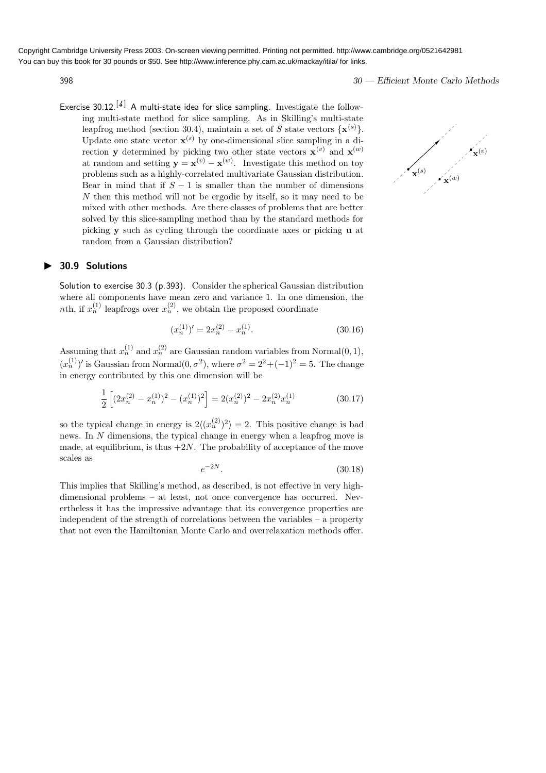$$
30 - \text{Efficient Monte Carlo Methods}
$$

Exercise 30.12.<sup>[4]</sup> A multi-state idea for slice sampling. Investigate the following multi-state method for slice sampling. As in Skilling's multi-state leapfrog method (section 30.4), maintain a set of S state vectors  $\{x^{(s)}\}.$ Update one state vector  $\mathbf{x}^{(s)}$  by one-dimensional slice sampling in a direction **y** determined by picking two other state vectors  $\mathbf{x}^{(v)}$  and  $\mathbf{x}^{(w)}$ at random and setting  $y = x^{(v)} - x^{(w)}$ . Investigate this method on toy problems such as a highly-correlated multivariate Gaussian distribution. Bear in mind that if  $S - 1$  is smaller than the number of dimensions  $N$  then this method will not be ergodic by itself, so it may need to be mixed with other methods. Are there classes of problems that are better solved by this slice-sampling method than by the standard methods for picking y such as cycling through the coordinate axes or picking u at random from a Gaussian distribution?

# ▶ 30.9 Solutions

Solution to exercise 30.3 (p.393). Consider the spherical Gaussian distribution where all components have mean zero and variance 1. In one dimension, the nth, if  $x_n^{(1)}$  leapfrogs over  $x_n^{(2)}$ , we obtain the proposed coordinate

$$
(x_n^{(1)})' = 2x_n^{(2)} - x_n^{(1)}.
$$
\n(30.16)

Assuming that  $x_n^{(1)}$  and  $x_n^{(2)}$  are Gaussian random variables from Normal $(0, 1)$ ,  $(x_n^{(1)})'$  is Gaussian from Normal $(0, \sigma^2)$ , where  $\sigma^2 = 2^2 + (-1)^2 = 5$ . The change in energy contributed by this one dimension will be

$$
\frac{1}{2}\left[ (2x_n^{(2)} - x_n^{(1)})^2 - (x_n^{(1)})^2 \right] = 2(x_n^{(2)})^2 - 2x_n^{(2)}x_n^{(1)}
$$
(30.17)

so the typical change in energy is  $2\langle (x_n^{(2)})^2 \rangle = 2$ . This positive change is bad news. In N dimensions, the typical change in energy when a leapfrog move is made, at equilibrium, is thus  $+2N$ . The probability of acceptance of the move scales as

$$
e^{-2N}.\tag{30.18}
$$

This implies that Skilling's method, as described, is not effective in very highdimensional problems – at least, not once convergence has occurred. Nevertheless it has the impressive advantage that its convergence properties are independent of the strength of correlations between the variables – a property that not even the Hamiltonian Monte Carlo and overrelaxation methods offer.

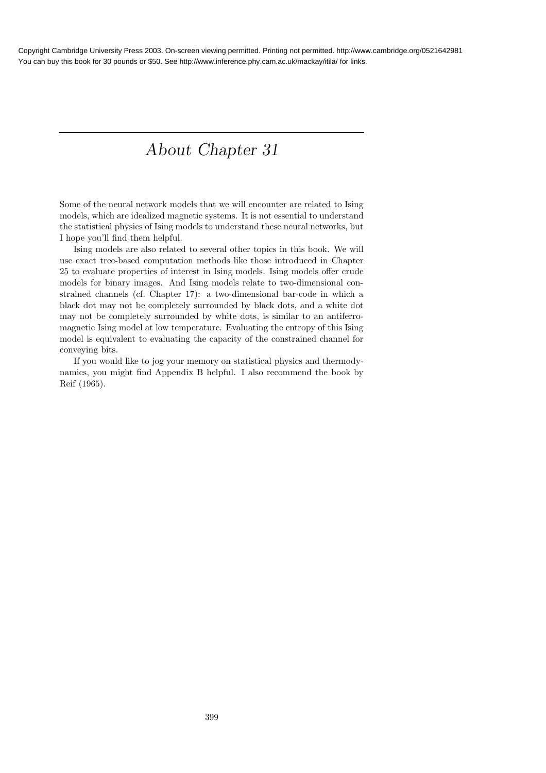# About Chapter 31

Some of the neural network models that we will encounter are related to Ising models, which are idealized magnetic systems. It is not essential to understand the statistical physics of Ising models to understand these neural networks, but I hope you'll find them helpful.

Ising models are also related to several other topics in this book. We will use exact tree-based computation methods like those introduced in Chapter 25 to evaluate properties of interest in Ising models. Ising models offer crude models for binary images. And Ising models relate to two-dimensional constrained channels (cf. Chapter 17): a two-dimensional bar-code in which a black dot may not be completely surrounded by black dots, and a white dot may not be completely surrounded by white dots, is similar to an antiferromagnetic Ising model at low temperature. Evaluating the entropy of this Ising model is equivalent to evaluating the capacity of the constrained channel for conveying bits.

If you would like to jog your memory on statistical physics and thermodynamics, you might find Appendix B helpful. I also recommend the book by Reif (1965).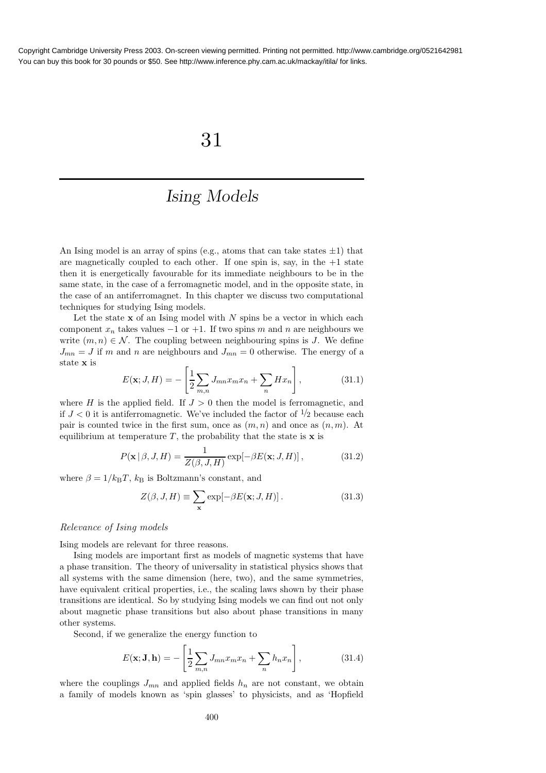# 31

# Ising Models

An Ising model is an array of spins (e.g., atoms that can take states  $\pm 1$ ) that are magnetically coupled to each other. If one spin is, say, in the  $+1$  state then it is energetically favourable for its immediate neighbours to be in the same state, in the case of a ferromagnetic model, and in the opposite state, in the case of an antiferromagnet. In this chapter we discuss two computational techniques for studying Ising models.

Let the state  $x$  of an Ising model with  $N$  spins be a vector in which each component  $x_n$  takes values  $-1$  or  $+1$ . If two spins m and n are neighbours we write  $(m, n) \in \mathcal{N}$ . The coupling between neighbouring spins is J. We define  $J_{mn}={\cal J}$  if  $m$  and  $n$  are neighbours and  $J_{mn}=0$  otherwise. The energy of a state x is

$$
E(\mathbf{x}; J, H) = -\left[\frac{1}{2} \sum_{m,n} J_{mn} x_m x_n + \sum_n H x_n\right],
$$
\n(31.1)

where H is the applied field. If  $J > 0$  then the model is ferromagnetic, and if  $J < 0$  it is antiferromagnetic. We've included the factor of  $1/2$  because each pair is counted twice in the first sum, once as  $(m, n)$  and once as  $(n, m)$ . At equilibrium at temperature  $T$ , the probability that the state is  $x$  is

$$
P(\mathbf{x} \mid \beta, J, H) = \frac{1}{Z(\beta, J, H)} \exp[-\beta E(\mathbf{x}; J, H)], \qquad (31.2)
$$

where  $\beta = 1/k_BT$ ,  $k_B$  is Boltzmann's constant, and

$$
Z(\beta, J, H) \equiv \sum_{\mathbf{x}} \exp[-\beta E(\mathbf{x}; J, H)].
$$
 (31.3)

#### Relevance of Ising models

Ising models are relevant for three reasons.

Ising models are important first as models of magnetic systems that have a phase transition. The theory of universality in statistical physics shows that all systems with the same dimension (here, two), and the same symmetries, have equivalent critical properties, i.e., the scaling laws shown by their phase transitions are identical. So by studying Ising models we can find out not only about magnetic phase transitions but also about phase transitions in many other systems.

Second, if we generalize the energy function to

$$
E(\mathbf{x}; \mathbf{J}, \mathbf{h}) = -\left[\frac{1}{2} \sum_{m,n} J_{mn} x_m x_n + \sum_n h_n x_n\right],
$$
 (31.4)

where the couplings  $J_{mn}$  and applied fields  $h_n$  are not constant, we obtain a family of models known as 'spin glasses' to physicists, and as 'Hopfield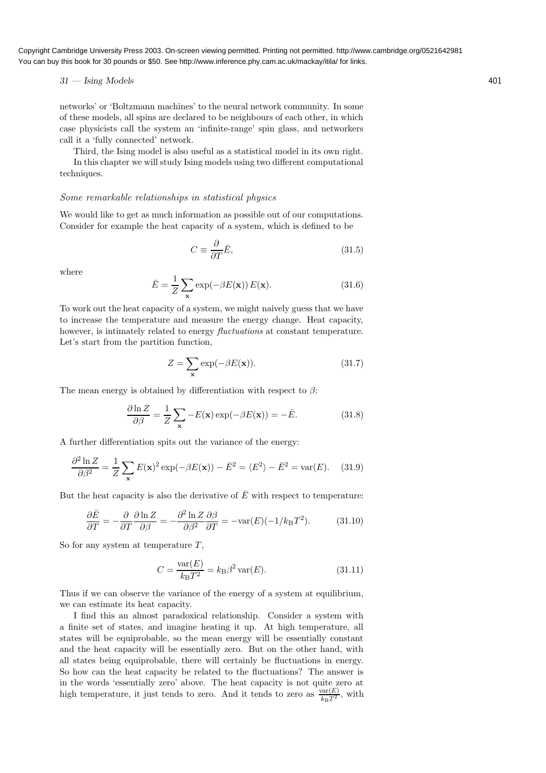$$
31 - I\sin g \text{ Models}
$$

networks' or 'Boltzmann machines' to the neural network community. In some of these models, all spins are declared to be neighbours of each other, in which case physicists call the system an 'infinite-range' spin glass, and networkers call it a 'fully connected' network.

Third, the Ising model is also useful as a statistical model in its own right. In this chapter we will study Ising models using two different computational techniques.

### Some remarkable relationships in statistical physics

We would like to get as much information as possible out of our computations. Consider for example the heat capacity of a system, which is defined to be

$$
C \equiv \frac{\partial}{\partial T} \bar{E},\tag{31.5}
$$

where

$$
\bar{E} = \frac{1}{Z} \sum_{\mathbf{x}} \exp(-\beta E(\mathbf{x})) E(\mathbf{x}).
$$
\n(31.6)

To work out the heat capacity of a system, we might naively guess that we have to increase the temperature and measure the energy change. Heat capacity, however, is intimately related to energy *fluctuations* at constant temperature. Let's start from the partition function,

$$
Z = \sum_{\mathbf{x}} \exp(-\beta E(\mathbf{x})).
$$
 (31.7)

The mean energy is obtained by differentiation with respect to  $\beta$ :

$$
\frac{\partial \ln Z}{\partial \beta} = \frac{1}{Z} \sum_{\mathbf{x}} -E(\mathbf{x}) \exp(-\beta E(\mathbf{x})) = -\bar{E}.
$$
 (31.8)

A further differentiation spits out the variance of the energy:

$$
\frac{\partial^2 \ln Z}{\partial \beta^2} = \frac{1}{Z} \sum_{\mathbf{x}} E(\mathbf{x})^2 \exp(-\beta E(\mathbf{x})) - \bar{E}^2 = \langle E^2 \rangle - \bar{E}^2 = \text{var}(E). \quad (31.9)
$$

But the heat capacity is also the derivative of  $\bar{E}$  with respect to temperature:

$$
\frac{\partial \bar{E}}{\partial T} = -\frac{\partial}{\partial T} \frac{\partial \ln Z}{\partial \beta} = -\frac{\partial^2 \ln Z}{\partial \beta^2} \frac{\partial \beta}{\partial T} = -\text{var}(E)(-1/k_B T^2). \tag{31.10}
$$

So for any system at temperature  $T$ ,

$$
C = \frac{\text{var}(E)}{k_{\text{B}}T^2} = k_{\text{B}}\beta^2 \,\text{var}(E). \tag{31.11}
$$

Thus if we can observe the variance of the energy of a system at equilibrium, we can estimate its heat capacity.

I find this an almost paradoxical relationship. Consider a system with a finite set of states, and imagine heating it up. At high temperature, all states will be equiprobable, so the mean energy will be essentially constant and the heat capacity will be essentially zero. But on the other hand, with all states being equiprobable, there will certainly be fluctuations in energy. So how can the heat capacity be related to the fluctuations? The answer is in the words 'essentially zero' above. The heat capacity is not quite zero at high temperature, it just tends to zero. And it tends to zero as  $\frac{\text{var}(E)}{k-T^2}$  $\frac{\sqrt{\text{ar}(E)}}{k_{\text{B}}T^2}$ , with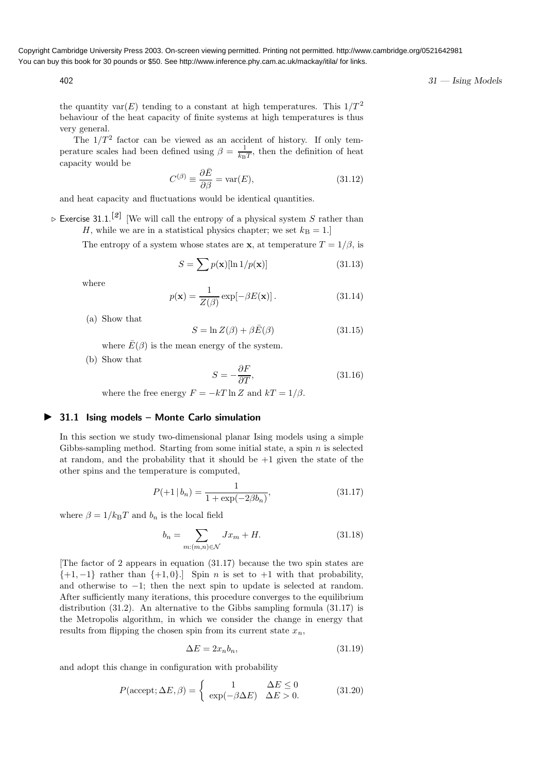$31$  — Ising Models

the quantity var $(E)$  tending to a constant at high temperatures. This  $1/T<sup>2</sup>$ behaviour of the heat capacity of finite systems at high temperatures is thus very general.

The  $1/T^2$  factor can be viewed as an accident of history. If only temperature scales had been defined using  $\beta = \frac{1}{k_B}$  $\frac{1}{k_{\text{B}}T}$ , then the definition of heat capacity would be

$$
C^{(\beta)} \equiv \frac{\partial \bar{E}}{\partial \beta} = \text{var}(E),\tag{31.12}
$$

and heat capacity and fluctuations would be identical quantities.

 $\triangleright$  Exercise 31.1.<sup>[2]</sup> [We will call the entropy of a physical system S rather than H, while we are in a statistical physics chapter; we set  $k_B = 1$ .

The entropy of a system whose states are **x**, at temperature  $T = 1/\beta$ , is

$$
S = \sum p(\mathbf{x})[\ln 1/p(\mathbf{x})]
$$
\n(31.13)

where

$$
p(\mathbf{x}) = \frac{1}{Z(\beta)} \exp[-\beta E(\mathbf{x})]. \tag{31.14}
$$

(a) Show that

$$
S = \ln Z(\beta) + \beta \bar{E}(\beta) \tag{31.15}
$$

where  $\bar{E}(\beta)$  is the mean energy of the system.

(b) Show that

$$
S = -\frac{\partial F}{\partial T},\tag{31.16}
$$

where the free energy  $F = -kT \ln Z$  and  $kT = 1/\beta$ .

# ▶ 31.1 Ising models – Monte Carlo simulation

In this section we study two-dimensional planar Ising models using a simple Gibbs-sampling method. Starting from some initial state, a spin  $n$  is selected at random, and the probability that it should be  $+1$  given the state of the other spins and the temperature is computed,

$$
P(+1 | b_n) = \frac{1}{1 + \exp(-2\beta b_n)},
$$
\n(31.17)

where  $\beta = 1/k_BT$  and  $b_n$  is the local field

$$
b_n = \sum_{m:(m,n)\in\mathcal{N}} Jx_m + H.
$$
\n(31.18)

[The factor of 2 appears in equation (31.17) because the two spin states are  $\{+1,-1\}$  rather than  $\{+1,0\}$ . Spin *n* is set to  $+1$  with that probability, and otherwise to −1; then the next spin to update is selected at random. After sufficiently many iterations, this procedure converges to the equilibrium distribution (31.2). An alternative to the Gibbs sampling formula (31.17) is the Metropolis algorithm, in which we consider the change in energy that results from flipping the chosen spin from its current state  $x_n$ ,

$$
\Delta E = 2x_n b_n,\tag{31.19}
$$

and adopt this change in configuration with probability

$$
P(\text{accept}; \Delta E, \beta) = \begin{cases} 1 & \Delta E \le 0 \\ \exp(-\beta \Delta E) & \Delta E > 0. \end{cases}
$$
(31.20)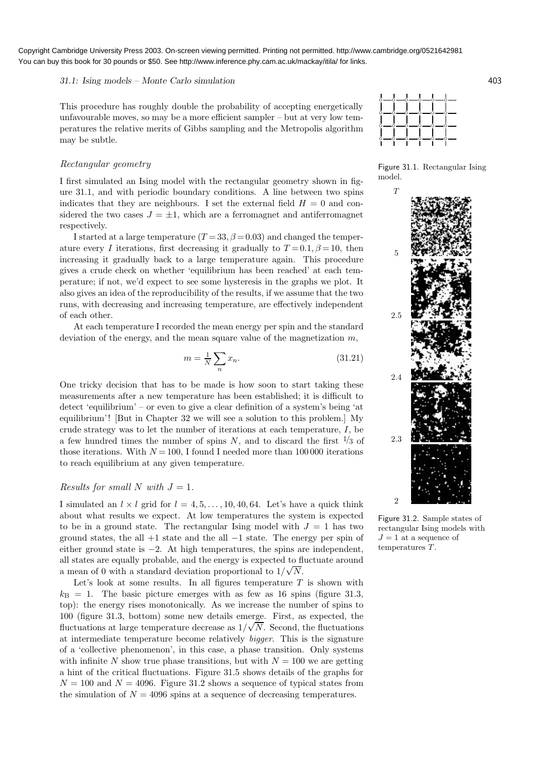### 31.1: Ising models – Monte Carlo simulation 403

This procedure has roughly double the probability of accepting energetically unfavourable moves, so may be a more efficient sampler – but at very low temperatures the relative merits of Gibbs sampling and the Metropolis algorithm may be subtle.

### Rectangular geometry

I first simulated an Ising model with the rectangular geometry shown in figure 31.1, and with periodic boundary conditions. A line between two spins indicates that they are neighbours. I set the external field  $H = 0$  and considered the two cases  $J = \pm 1$ , which are a ferromagnet and antiferromagnet respectively.

I started at a large temperature  $(T = 33, \beta = 0.03)$  and changed the temperature every I iterations, first decreasing it gradually to  $T = 0.1, \beta = 10$ , then increasing it gradually back to a large temperature again. This procedure gives a crude check on whether 'equilibrium has been reached' at each temperature; if not, we'd expect to see some hysteresis in the graphs we plot. It also gives an idea of the reproducibility of the results, if we assume that the two runs, with decreasing and increasing temperature, are effectively independent of each other.

At each temperature I recorded the mean energy per spin and the standard deviation of the energy, and the mean square value of the magnetization  $m$ ,

$$
m = \frac{1}{N} \sum_{n} x_n.
$$
\n
$$
(31.21)
$$

One tricky decision that has to be made is how soon to start taking these measurements after a new temperature has been established; it is difficult to detect 'equilibrium' – or even to give a clear definition of a system's being 'at equilibrium'! [But in Chapter 32 we will see a solution to this problem.] My crude strategy was to let the number of iterations at each temperature, I, be a few hundred times the number of spins N, and to discard the first  $\frac{1}{3}$  of those iterations. With  $N = 100$ , I found I needed more than 100 000 iterations to reach equilibrium at any given temperature.

### Results for small N with  $J = 1$ .

I simulated an  $l \times l$  grid for  $l = 4, 5, \ldots, 10, 40, 64$ . Let's have a quick think about what results we expect. At low temperatures the system is expected to be in a ground state. The rectangular Ising model with  $J = 1$  has two ground states, the all  $+1$  state and the all  $-1$  state. The energy per spin of either ground state is −2. At high temperatures, the spins are independent, all states are equally probable, and the energy is expected to fluctuate around a mean of 0 with a standard deviation proportional to  $1/\sqrt{N}$ .

Let's look at some results. In all figures temperature  $T$  is shown with  $k_B = 1$ . The basic picture emerges with as few as 16 spins (figure 31.3, top): the energy rises monotonically. As we increase the number of spins to 100 (figure 31.3, bottom) some new details emerge. First, as expected, the fluctuations at large temperature decrease as  $1/\sqrt{N}$ . Second, the fluctuations at intermediate temperature become relatively bigger. This is the signature of a 'collective phenomenon', in this case, a phase transition. Only systems with infinite N show true phase transitions, but with  $N = 100$  we are getting a hint of the critical fluctuations. Figure 31.5 shows details of the graphs for  $N = 100$  and  $N = 4096$ . Figure 31.2 shows a sequence of typical states from the simulation of  $N = 4096$  spins at a sequence of decreasing temperatures.



Figure 31.1. Rectangular Ising model.



Figure 31.2. Sample states of rectangular Ising models with  $J = 1$  at a sequence of temperatures T.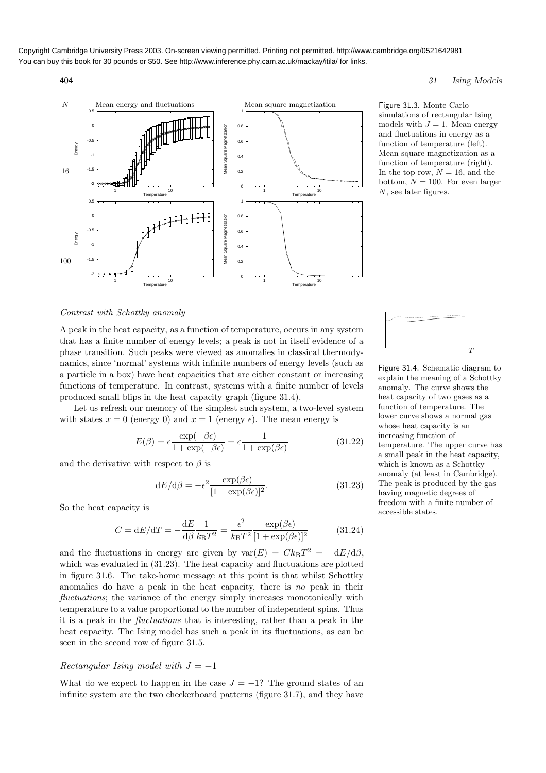

Figure 31.3. Monte Carlo simulations of rectangular Ising models with  $J = 1$ . Mean energy and fluctuations in energy as a function of temperature (left). Mean square magnetization as a function of temperature (right). In the top row,  $N = 16$ , and the bottom,  $N = 100$ . For even larger N, see later figures.

Contrast with Schottky anomaly

A peak in the heat capacity, as a function of temperature, occurs in any system that has a finite number of energy levels; a peak is not in itself evidence of a phase transition. Such peaks were viewed as anomalies in classical thermodynamics, since 'normal' systems with infinite numbers of energy levels (such as a particle in a box) have heat capacities that are either constant or increasing functions of temperature. In contrast, systems with a finite number of levels produced small blips in the heat capacity graph (figure 31.4).

Let us refresh our memory of the simplest such system, a two-level system with states  $x = 0$  (energy 0) and  $x = 1$  (energy  $\epsilon$ ). The mean energy is

$$
E(\beta) = \epsilon \frac{\exp(-\beta \epsilon)}{1 + \exp(-\beta \epsilon)} = \epsilon \frac{1}{1 + \exp(\beta \epsilon)}
$$
(31.22)

and the derivative with respect to  $\beta$  is

$$
dE/d\beta = -\epsilon^2 \frac{\exp(\beta \epsilon)}{[1 + \exp(\beta \epsilon)]^2}.
$$
 (31.23)

So the heat capacity is

$$
C = dE/dT = -\frac{dE}{d\beta} \frac{1}{k_B T^2} = \frac{\epsilon^2}{k_B T^2} \frac{\exp(\beta \epsilon)}{[1 + \exp(\beta \epsilon)]^2}
$$
(31.24)

and the fluctuations in energy are given by  $var(E) = Ck_B T^2 = -dE/d\beta$ , which was evaluated in (31.23). The heat capacity and fluctuations are plotted in figure 31.6. The take-home message at this point is that whilst Schottky anomalies do have a peak in the heat capacity, there is no peak in their fluctuations; the variance of the energy simply increases monotonically with temperature to a value proportional to the number of independent spins. Thus it is a peak in the fluctuations that is interesting, rather than a peak in the heat capacity. The Ising model has such a peak in its fluctuations, as can be seen in the second row of figure 31.5.

# Rectangular Ising model with  $J = -1$

What do we expect to happen in the case  $J = -1$ ? The ground states of an infinite system are the two checkerboard patterns (figure 31.7), and they have



Figure 31.4. Schematic diagram to explain the meaning of a Schottky anomaly. The curve shows the heat capacity of two gases as a function of temperature. The lower curve shows a normal gas whose heat capacity is an increasing function of temperature. The upper curve has a small peak in the heat capacity, which is known as a Schottky anomaly (at least in Cambridge). The peak is produced by the gas having magnetic degrees of freedom with a finite number of accessible states.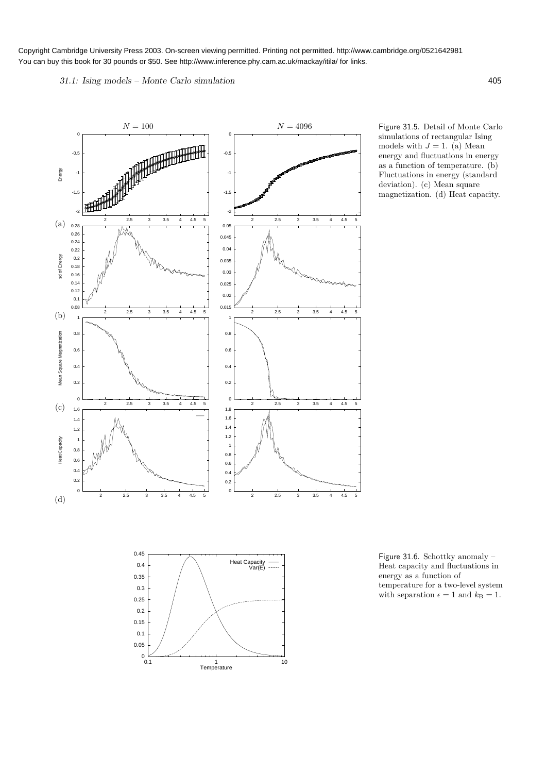31.1: Ising models – Monte Carlo simulation 405

 $N = 100$   $N = 4096$ 0 0  $-0.5$ -0.5 Energy -1 -1  $-1.5$ **The Second Second** -1.5 -2 -2 2 2.5 3 3.5 4 4.5 5 2 2.5 3 3.5 4 4.5 5  $(a)$  0.28 0.05 0.26 0.045 0.24 0.04 0.22 sd of Energy 0.2 sd of Energy 0.035  $0.18$ 0.03 0.16 0.14 0.025 0.12 0.02  $0.1$ 0.08 0.015 2 2.5 3 3.5 4 4.5 5 2 2.5 3 3.5 4 4.5 5 (b) 1 1  $0.8$ 0.8 Mean Square Magnetization Mean Square Magnetization 0.6 0.6 0.4 0.4  $0.2$  $0.2$  $\overline{0}$  $\overline{0}$ 2 2.5 3 3.5 4 4.5 5 2 2.5 3 3.5 4 4.5 5 (c) 1.6 1.8 1.6 1.4 1.4 1.2 1.2 Heat Capacity Heat Capacity 1 1 0.8 0.8 0.6 0.6  $0.4$  $0.4$  $0.2$ 0.2  $\Omega$ 0 2 2.5 3 3.5 4 4.5 5 2 2.5 3 3.5 4 4.5 5 (d)



Figure 31.6. Schottky anomaly – Heat capacity and fluctuations in energy as a function of temperature for a two-level system with separation  $\epsilon=1$  and  $k_{\rm B}=1.$ 

### Figure 31.5. Detail of Monte Carlo simulations of rectangular Ising models with  $J = 1$ . (a) Mean energy and fluctuations in energy as a function of temperature.  $(b)$ Fluctuations in energy (standard deviation). (c) Mean square magnetization. (d) Heat capacity.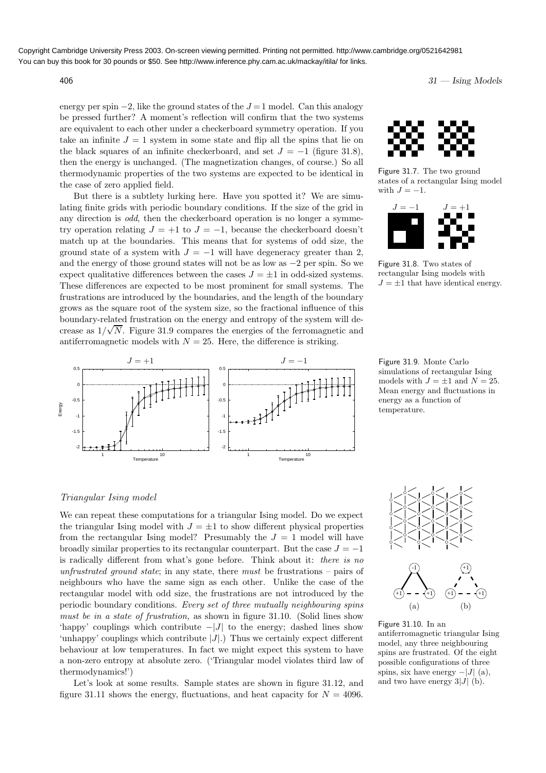$\frac{31 - \text{Ising Models}}{3}$ 

energy per spin  $-2$ , like the ground states of the  $J = 1$  model. Can this analogy be pressed further? A moment's reflection will confirm that the two systems are equivalent to each other under a checkerboard symmetry operation. If you take an infinite  $J = 1$  system in some state and flip all the spins that lie on the black squares of an infinite checkerboard, and set  $J = -1$  (figure 31.8), then the energy is unchanged. (The magnetization changes, of course.) So all thermodynamic properties of the two systems are expected to be identical in the case of zero applied field.

But there is a subtlety lurking here. Have you spotted it? We are simulating finite grids with periodic boundary conditions. If the size of the grid in any direction is odd, then the checkerboard operation is no longer a symmetry operation relating  $J = +1$  to  $J = -1$ , because the checkerboard doesn't match up at the boundaries. This means that for systems of odd size, the ground state of a system with  $J = -1$  will have degeneracy greater than 2, and the energy of those ground states will not be as low as −2 per spin. So we expect qualitative differences between the cases  $J = \pm 1$  in odd-sized systems. These differences are expected to be most prominent for small systems. The frustrations are introduced by the boundaries, and the length of the boundary grows as the square root of the system size, so the fractional influence of this boundary-related frustration on the energy and entropy of the system will decrease as  $1/\sqrt{N}$ . Figure 31.9 compares the energies of the ferromagnetic and antiferromagnetic models with  $N = 25$ . Here, the difference is striking.



# Triangular Ising model

We can repeat these computations for a triangular Ising model. Do we expect the triangular Ising model with  $J = \pm 1$  to show different physical properties from the rectangular Ising model? Presumably the  $J = 1$  model will have broadly similar properties to its rectangular counterpart. But the case  $J = -1$ is radically different from what's gone before. Think about it: there is no unfrustrated ground state; in any state, there must be frustrations – pairs of neighbours who have the same sign as each other. Unlike the case of the rectangular model with odd size, the frustrations are not introduced by the periodic boundary conditions. Every set of three mutually neighbouring spins must be in a state of frustration, as shown in figure 31.10. (Solid lines show 'happy' couplings which contribute  $-|J|$  to the energy; dashed lines show 'unhappy' couplings which contribute  $|J|$ .) Thus we certainly expect different behaviour at low temperatures. In fact we might expect this system to have a non-zero entropy at absolute zero. ('Triangular model violates third law of thermodynamics!')

Let's look at some results. Sample states are shown in figure 31.12, and figure 31.11 shows the energy, fluctuations, and heat capacity for  $N = 4096$ .



Figure 31.7. The two ground states of a rectangular Ising model with  $J = -1$ .



Figure 31.8. Two states of rectangular Ising models with  $J = \pm 1$  that have identical energy.

Figure 31.9. Monte Carlo simulations of rectangular Ising models with  $J = \pm 1$  and  $N = 25$ . Mean energy and fluctuations in energy as a function of temperature.



Figure 31.10. In an antiferromagnetic triangular Ising model, any three neighbouring spins are frustrated. Of the eight possible configurations of three spins, six have energy  $-|J|$  (a), and two have energy  $3|J|$  (b).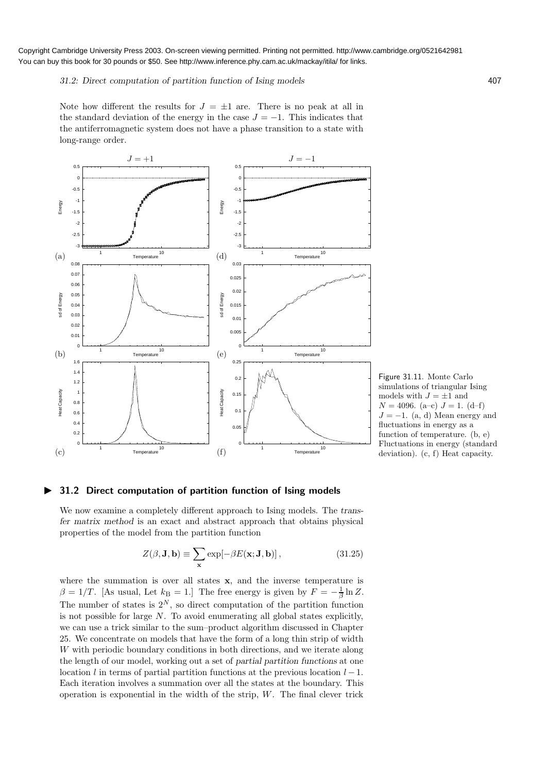### 31.2: Direct computation of partition function of Ising models 407

Note how different the results for  $J = \pm 1$  are. There is no peak at all in the standard deviation of the energy in the case  $J = -1$ . This indicates that the antiferromagnetic system does not have a phase transition to a state with long-range order.



Figure 31.11. Monte Carlo simulations of triangular Ising models with  $J = \pm 1$  and  $N = 4096.$  (a–c)  $J = 1.$  (d–f)  $J = -1$ . (a, d) Mean energy and fluctuations in energy as a function of temperature. (b, e) Fluctuations in energy (standard deviation). (c, f) Heat capacity.

# ▶ 31.2 Direct computation of partition function of Ising models

We now examine a completely different approach to Ising models. The transfer matrix method is an exact and abstract approach that obtains physical properties of the model from the partition function

$$
Z(\beta, \mathbf{J}, \mathbf{b}) \equiv \sum_{\mathbf{x}} \exp[-\beta E(\mathbf{x}; \mathbf{J}, \mathbf{b})], \qquad (31.25)
$$

where the summation is over all states  $x$ , and the inverse temperature is  $\beta = 1/T$ . [As usual, Let  $k_B = 1$ .] The free energy is given by  $F = -\frac{1}{\beta} \ln Z$ . The number of states is  $2^N$ , so direct computation of the partition function is not possible for large  $N$ . To avoid enumerating all global states explicitly, we can use a trick similar to the sum–product algorithm discussed in Chapter 25. We concentrate on models that have the form of a long thin strip of width W with periodic boundary conditions in both directions, and we iterate along the length of our model, working out a set of partial partition functions at one location l in terms of partial partition functions at the previous location  $l-1$ . Each iteration involves a summation over all the states at the boundary. This operation is exponential in the width of the strip,  $W$ . The final clever trick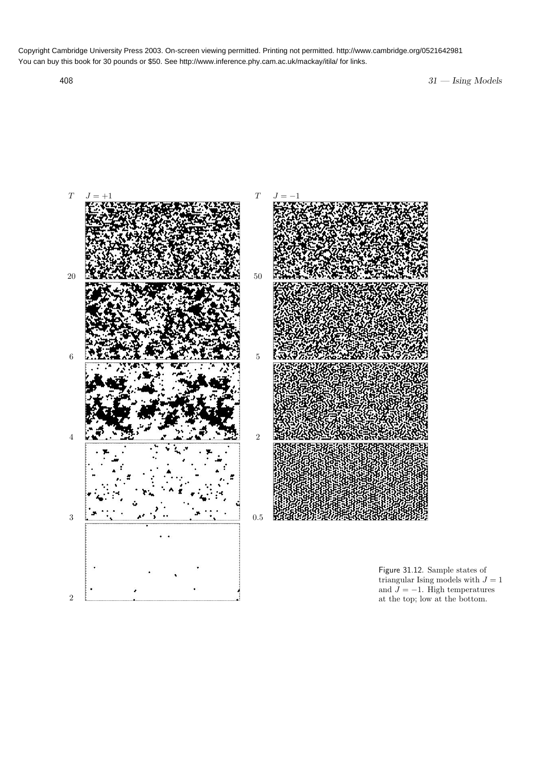$31 -$  Ising Models

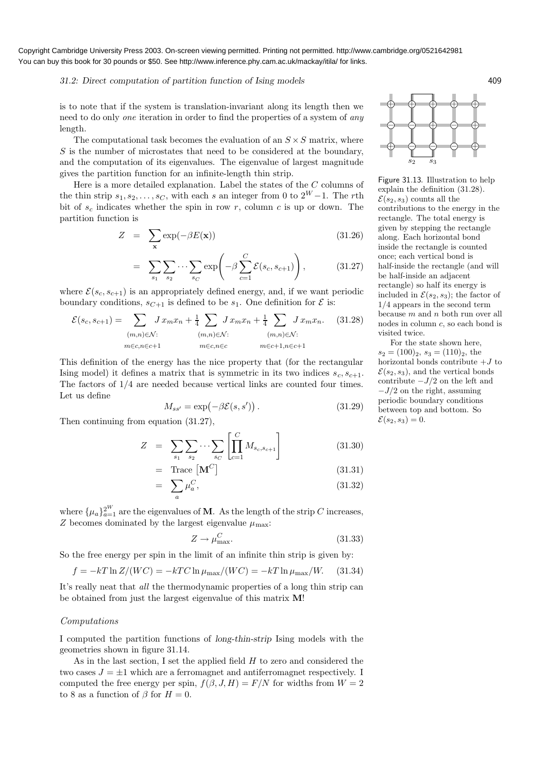# 31.2: Direct computation of partition function of Ising models 409

is to note that if the system is translation-invariant along its length then we need to do only *one* iteration in order to find the properties of a system of *any* length.

The computational task becomes the evaluation of an  $S \times S$  matrix, where  $S$  is the number of microstates that need to be considered at the boundary, and the computation of its eigenvalues. The eigenvalue of largest magnitude gives the partition function for an infinite-length thin strip.

Here is a more detailed explanation. Label the states of the C columns of the thin strip  $s_1, s_2, \ldots, s_C$ , with each s an integer from 0 to  $2^W - 1$ . The rth bit of  $s_c$  indicates whether the spin in row r, column c is up or down. The partition function is

$$
Z = \sum_{\mathbf{x}} \exp(-\beta E(\mathbf{x})) \tag{31.26}
$$

$$
= \sum_{s_1} \sum_{s_2} \cdots \sum_{s_C} \exp\left(-\beta \sum_{c=1}^C \mathcal{E}(s_c, s_{c+1})\right), \tag{31.27}
$$

where  $\mathcal{E}(s_c, s_{c+1})$  is an appropriately defined energy, and, if we want periodic boundary conditions,  $s_{C+1}$  is defined to be  $s_1$ . One definition for  $\mathcal E$  is:

$$
\mathcal{E}(s_c, s_{c+1}) = \sum_{\substack{(m,n)\in\mathcal{N}:\\m\in c, n\in c+1}} J x_m x_n + \frac{1}{4} \sum_{\substack{(m,n)\in\mathcal{N}:\\m\in c, n\in c}} J x_m x_n + \frac{1}{4} \sum_{\substack{(m,n)\in\mathcal{N}:\\m\in c+1, n\in c+1}} J x_m x_n. \tag{31.28}
$$

This definition of the energy has the nice property that (for the rectangular Ising model) it defines a matrix that is symmetric in its two indices  $s_c$ ,  $s_{c+1}$ . The factors of 1/4 are needed because vertical links are counted four times. Let us define

$$
M_{ss'} = \exp(-\beta \mathcal{E}(s, s')) \,. \tag{31.29}
$$

Then continuing from equation (31.27),

$$
Z = \sum_{s_1} \sum_{s_2} \cdots \sum_{s_C} \left[ \prod_{c=1}^C M_{s_c, s_{c+1}} \right]
$$
(31.30)

$$
= \text{Trace} [\mathbf{M}^C] \tag{31.31}
$$

$$
= \sum_{a} \mu_a^C,\tag{31.32}
$$

where  $\{\mu_a\}_{a=1}^{2^W}$  are the eigenvalues of **M**. As the length of the strip C increases, Z becomes dominated by the largest eigenvalue  $\mu_{\text{max}}$ .

$$
Z \to \mu_{\text{max}}^C. \tag{31.33}
$$

So the free energy per spin in the limit of an infinite thin strip is given by:

$$
f = -kT \ln Z / (WC) = -kTC \ln \mu_{\text{max}} / (WC) = -kT \ln \mu_{\text{max}} / W. \tag{31.34}
$$

It's really neat that all the thermodynamic properties of a long thin strip can be obtained from just the largest eigenvalue of this matrix M!

#### Computations

I computed the partition functions of long-thin-strip Ising models with the geometries shown in figure 31.14.

As in the last section, I set the applied field  $H$  to zero and considered the two cases  $J = \pm 1$  which are a ferromagnet and antiferromagnet respectively. I computed the free energy per spin,  $f(\beta, J, H) = F/N$  for widths from  $W = 2$ to 8 as a function of  $\beta$  for  $H = 0$ .



Figure 31.13. Illustration to help explain the definition (31.28).  $\mathcal{E}(s_2, s_3)$  counts all the contributions to the energy in the rectangle. The total energy is given by stepping the rectangle along. Each horizontal bond inside the rectangle is counted once; each vertical bond is half-inside the rectangle (and will be half-inside an adjacent rectangle) so half its energy is included in  $\mathcal{E}(s_2, s_3)$ ; the factor of 1/4 appears in the second term because  $m$  and  $n$  both run over all nodes in column c, so each bond is visited twice.

For the state shown here,  $s_2 = (100)_2, s_3 = (110)_2,$  the horizontal bonds contribute  $+J$  to  $\mathcal{E}(s_2, s_3)$ , and the vertical bonds contribute  $-J/2$  on the left and  $-J/2$  on the right, assuming periodic boundary conditions between top and bottom. So  $\mathcal{E}(s_2, s_3) = 0.$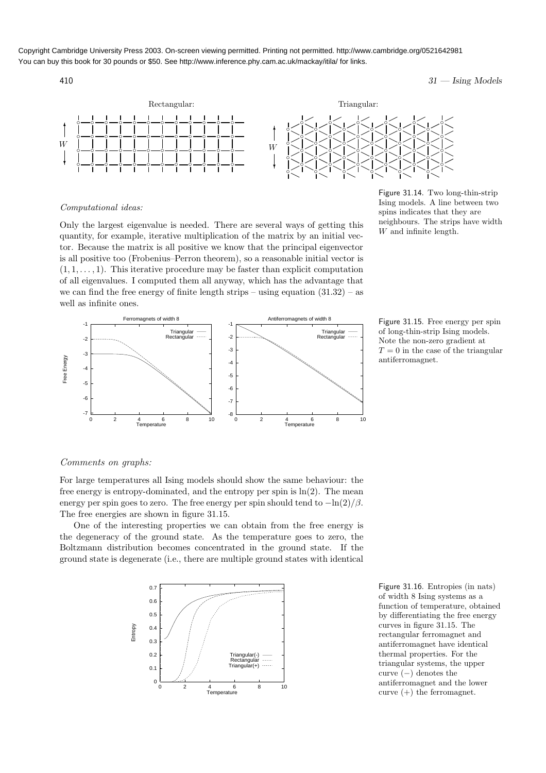$\frac{31 - \text{Ising Models}}{10}$ 



# Computational ideas:

Only the largest eigenvalue is needed. There are several ways of getting this quantity, for example, iterative multiplication of the matrix by an initial vector. Because the matrix is all positive we know that the principal eigenvector is all positive too (Frobenius–Perron theorem), so a reasonable initial vector is  $(1, 1, \ldots, 1)$ . This iterative procedure may be faster than explicit computation of all eigenvalues. I computed them all anyway, which has the advantage that we can find the free energy of finite length strips – using equation  $(31.32)$  – as well as infinite ones.





Figure 31.15. Free energy per spin of long-thin-strip Ising models. Note the non-zero gradient at  $T = 0$  in the case of the triangular antiferromagnet.

### Comments on graphs:

For large temperatures all Ising models should show the same behaviour: the free energy is entropy-dominated, and the entropy per spin is  $\ln(2)$ . The mean energy per spin goes to zero. The free energy per spin should tend to  $-\ln(2)/\beta$ . The free energies are shown in figure 31.15.

One of the interesting properties we can obtain from the free energy is the degeneracy of the ground state. As the temperature goes to zero, the Boltzmann distribution becomes concentrated in the ground state. If the ground state is degenerate (i.e., there are multiple ground states with identical



Figure 31.16. Entropies (in nats) of width 8 Ising systems as a function of temperature, obtained by differentiating the free energy curves in figure 31.15. The rectangular ferromagnet and antiferromagnet have identical thermal properties. For the triangular systems, the upper curve  $(-)$  denotes the antiferromagnet and the lower curve (+) the ferromagnet.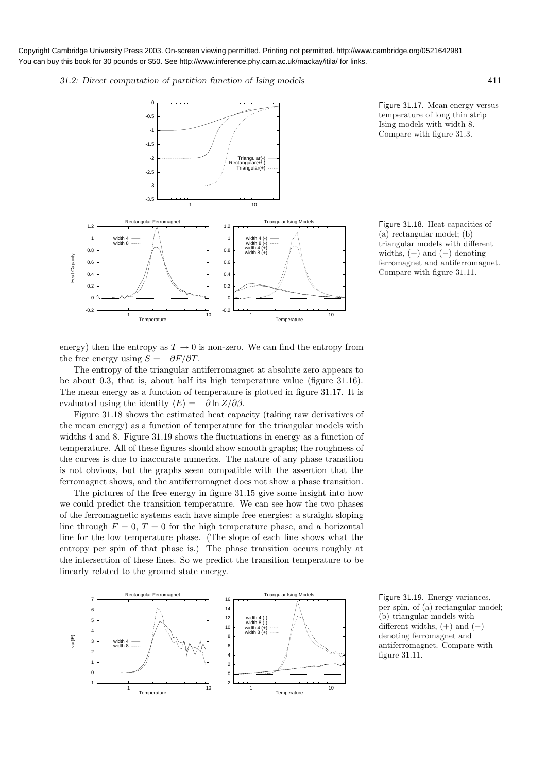### 31.2: Direct computation of partition function of Ising models 411



Figure 31.17. Mean energy versus temperature of long thin strip Ising models with width 8. Compare with figure 31.3.

Figure 31.18. Heat capacities of (a) rectangular model; (b) triangular models with different widths,  $(+)$  and  $(-)$  denoting ferromagnet and antiferromagnet. Compare with figure 31.11.

energy) then the entropy as  $T \to 0$  is non-zero. We can find the entropy from the free energy using  $S = -\partial F/\partial T$ .

The entropy of the triangular antiferromagnet at absolute zero appears to be about 0.3, that is, about half its high temperature value (figure 31.16). The mean energy as a function of temperature is plotted in figure 31.17. It is evaluated using the identity  $\langle E \rangle = -\partial \ln Z / \partial \beta$ .

Figure 31.18 shows the estimated heat capacity (taking raw derivatives of the mean energy) as a function of temperature for the triangular models with widths 4 and 8. Figure 31.19 shows the fluctuations in energy as a function of temperature. All of these figures should show smooth graphs; the roughness of the curves is due to inaccurate numerics. The nature of any phase transition is not obvious, but the graphs seem compatible with the assertion that the ferromagnet shows, and the antiferromagnet does not show a phase transition.

The pictures of the free energy in figure 31.15 give some insight into how we could predict the transition temperature. We can see how the two phases of the ferromagnetic systems each have simple free energies: a straight sloping line through  $F = 0$ ,  $T = 0$  for the high temperature phase, and a horizontal line for the low temperature phase. (The slope of each line shows what the entropy per spin of that phase is.) The phase transition occurs roughly at the intersection of these lines. So we predict the transition temperature to be linearly related to the ground state energy.



Figure 31.19. Energy variances, per spin, of (a) rectangular model; (b) triangular models with different widths,  $(+)$  and  $(-)$ denoting ferromagnet and antiferromagnet. Compare with figure 31.11.